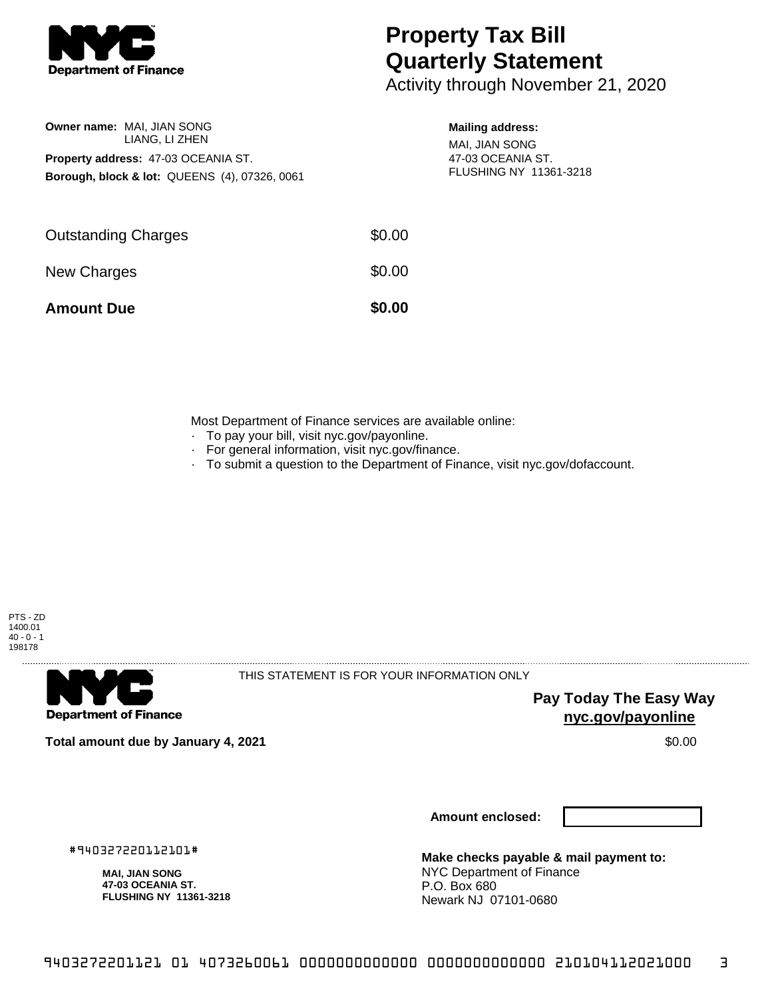

**Owner name:** MAI, JIAN SONG

LIANG, LI ZHEN

**Borough, block & lot:** QUEENS (4), 07326, 0061

**Property address:** 47-03 OCEANIA ST.

## **Property Tax Bill Quarterly Statement**

Activity through November 21, 2020

## **Mailing address:**

MAI, JIAN SONG 47-03 OCEANIA ST. FLUSHING NY 11361-3218

| \$0.00 |
|--------|
| \$0.00 |
| \$0.00 |
|        |

Most Department of Finance services are available online:

- · To pay your bill, visit nyc.gov/payonline.
- For general information, visit nyc.gov/finance.
- · To submit a question to the Department of Finance, visit nyc.gov/dofaccount.





THIS STATEMENT IS FOR YOUR INFORMATION ONLY

**Pay Today The Easy Way nyc.gov/payonline**

**Total amount due by January 4, 2021** \$0.00

**Amount enclosed:**

#940327220112101#

**MAI, JIAN SONG 47-03 OCEANIA ST. FLUSHING NY 11361-3218**

**Make checks payable & mail payment to:** NYC Department of Finance P.O. Box 680 Newark NJ 07101-0680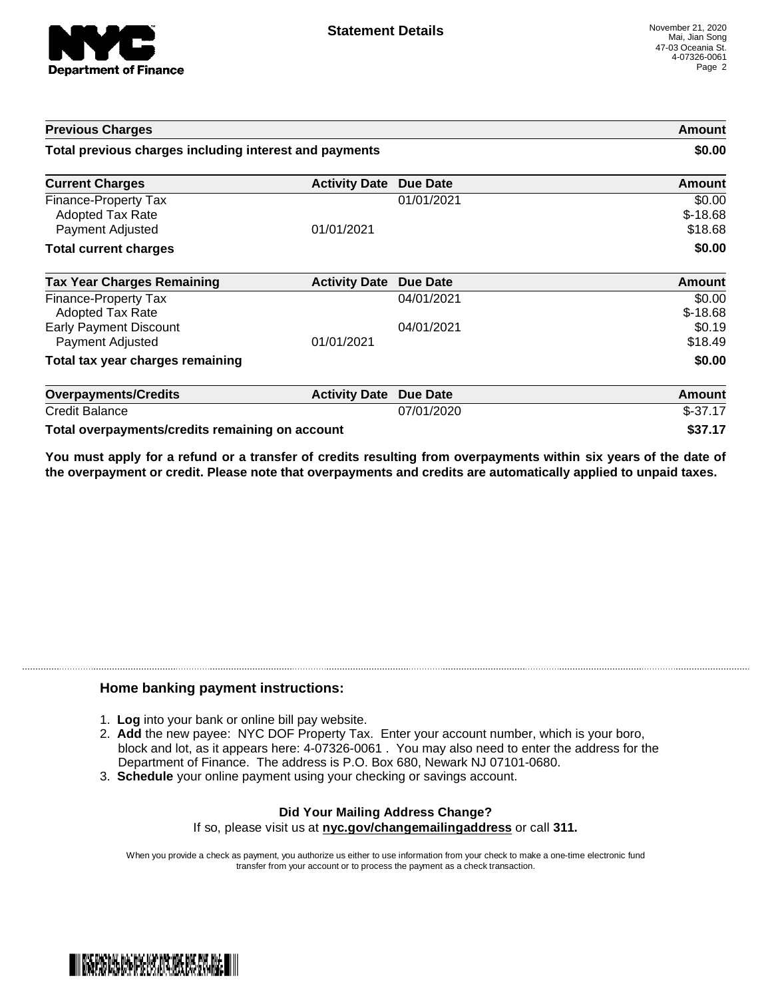

| <b>Previous Charges</b><br>Total previous charges including interest and payments |                      |                 | Amount<br>\$0.00               |
|-----------------------------------------------------------------------------------|----------------------|-----------------|--------------------------------|
|                                                                                   |                      |                 |                                |
| Finance-Property Tax<br>Adopted Tax Rate<br>Payment Adjusted                      | 01/01/2021           | 01/01/2021      | \$0.00<br>$$-18.68$<br>\$18.68 |
| <b>Total current charges</b>                                                      |                      |                 | \$0.00                         |
| <b>Tax Year Charges Remaining</b>                                                 | <b>Activity Date</b> | Due Date        | Amount                         |
| <b>Finance-Property Tax</b><br>Adopted Tax Rate                                   |                      | 04/01/2021      | \$0.00<br>$$-18.68$            |
| <b>Early Payment Discount</b><br>Payment Adjusted                                 | 01/01/2021           | 04/01/2021      | \$0.19<br>\$18.49              |
| Total tax year charges remaining                                                  |                      |                 | \$0.00                         |
| <b>Overpayments/Credits</b>                                                       | <b>Activity Date</b> | <b>Due Date</b> | Amount                         |
| <b>Credit Balance</b>                                                             |                      | 07/01/2020      | $$-37.17$                      |
| Total overpayments/credits remaining on account                                   |                      |                 | \$37.17                        |

You must apply for a refund or a transfer of credits resulting from overpayments within six years of the date of **the overpayment or credit. Please note that overpayments and credits are automatically applied to unpaid taxes.**

## **Home banking payment instructions:**

- 1. **Log** into your bank or online bill pay website.
- 2. **Add** the new payee: NYC DOF Property Tax. Enter your account number, which is your boro, block and lot, as it appears here: 4-07326-0061 . You may also need to enter the address for the Department of Finance. The address is P.O. Box 680, Newark NJ 07101-0680.
- 3. **Schedule** your online payment using your checking or savings account.

## **Did Your Mailing Address Change?** If so, please visit us at **nyc.gov/changemailingaddress** or call **311.**

When you provide a check as payment, you authorize us either to use information from your check to make a one-time electronic fund transfer from your account or to process the payment as a check transaction.